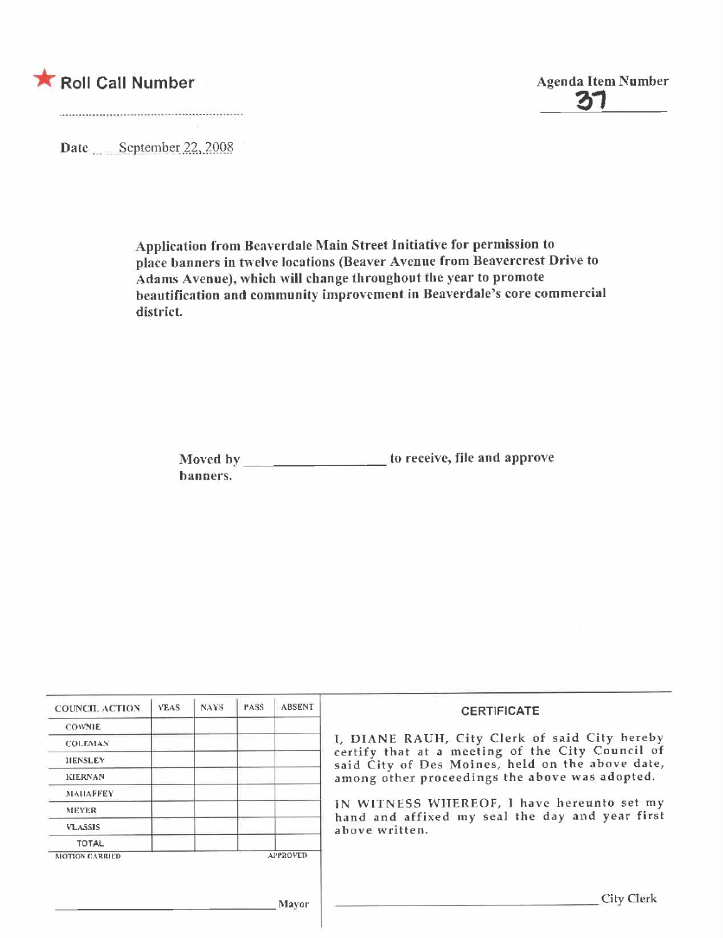



Date September 22, 2008

Application from Beaverdale Main Street Initiative for permission to place banners in twelve locations (Beaver Avenue from Beavercrest Drive to Adams Avenue), which will change throughout the year to promote beautification and community improvement in Beaverdale's core commercial district.

| Moved by | to receive, file and approve |
|----------|------------------------------|
| banners. |                              |

| <b>COUNCIL ACTION</b> | <b>YEAS</b> | <b>NAYS</b> | PASS | <b>ABSENT</b>   | <b>CERTIFICATE</b>                                                                                                                                                                                      |                |  |  |
|-----------------------|-------------|-------------|------|-----------------|---------------------------------------------------------------------------------------------------------------------------------------------------------------------------------------------------------|----------------|--|--|
| <b>COWNIE</b>         |             |             |      |                 |                                                                                                                                                                                                         |                |  |  |
| <b>COLEMAN</b>        |             |             |      |                 | I, DIANE RAUH, City Clerk of said City hereby<br>certify that at a meeting of the City Council of<br>said City of Des Moines, held on the above date,<br>among other proceedings the above was adopted. |                |  |  |
| <b>IIENSLEY</b>       |             |             |      |                 |                                                                                                                                                                                                         |                |  |  |
| <b>KIERNAN</b>        |             |             |      |                 |                                                                                                                                                                                                         |                |  |  |
| <b>MAHAFFEY</b>       |             |             |      |                 |                                                                                                                                                                                                         |                |  |  |
| MEYER.                |             |             |      |                 | IN WITNESS WHEREOF, I have hereunto set my<br>hand and affixed my seal the day and year first                                                                                                           |                |  |  |
| <b>VLASSIS</b>        |             |             |      |                 |                                                                                                                                                                                                         | above written. |  |  |
| <b>TOTAL</b>          |             |             |      |                 |                                                                                                                                                                                                         |                |  |  |
| <b>MOTION CARRIED</b> |             |             |      | <b>APPROVED</b> |                                                                                                                                                                                                         |                |  |  |
|                       |             |             |      |                 |                                                                                                                                                                                                         |                |  |  |
|                       |             |             |      | Mayor           | City Clerk                                                                                                                                                                                              |                |  |  |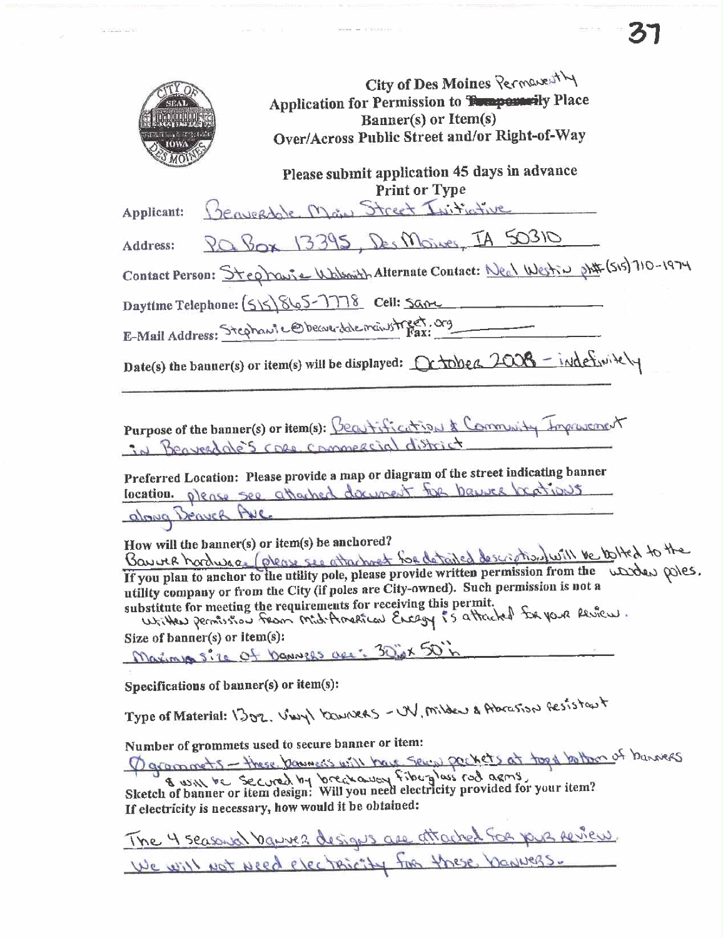| City of Des Moines Permanently<br>Application for Permission to Tompermily Place<br>Banner(s) or Item(s)<br>Over/Across Public Street and/or Right-of-Way                                                                                                                                                                                                                                                                                                                                 |
|-------------------------------------------------------------------------------------------------------------------------------------------------------------------------------------------------------------------------------------------------------------------------------------------------------------------------------------------------------------------------------------------------------------------------------------------------------------------------------------------|
| Please submit application 45 days in advance<br>Print or Type                                                                                                                                                                                                                                                                                                                                                                                                                             |
| Beaveraghte Main Street Initiative<br>Applicant:                                                                                                                                                                                                                                                                                                                                                                                                                                          |
| Pa Box 13395, Des Moines, IA 50310<br>Address:                                                                                                                                                                                                                                                                                                                                                                                                                                            |
| Contact Person: Stephause Walsonth Alternate Contact: Necl Westin phil (515) 710-1974                                                                                                                                                                                                                                                                                                                                                                                                     |
| Daytime Telephone: (5)5) 865-7778 Cell: Same                                                                                                                                                                                                                                                                                                                                                                                                                                              |
| E-Mail Address: Stephant Cobeau dale manstreet. org                                                                                                                                                                                                                                                                                                                                                                                                                                       |
| Date(s) the banner(s) or item(s) will be displayed: Crabbed 2008 - indefinitely                                                                                                                                                                                                                                                                                                                                                                                                           |
| Purpose of the banner(s) or item(s): Beautification & Community Improvement<br>in Beaverdate's case, commercial district<br>Preferred Location: Please provide a map or diagram of the street indicating banner<br>location please see attached document for banner beations<br>along Beaver Ave                                                                                                                                                                                          |
| How will the banner(s) or item(s) be anchored?<br>Bauver hordwas (please see attachment for detailed description will be to lited to the<br>If you plan to anchor to the utility pole, please provide written permission from the warden poles.<br>utility company or from the City (if poles are City-owned). Such permission is not a<br>substitute for meeting the requirements for receiving this permit.<br>Written permission from Mid-American Encagy is attacked for your Review. |
| Size of banner(s) or item(s):                                                                                                                                                                                                                                                                                                                                                                                                                                                             |
| Maximum size of Danvers are: 30inx 50 in                                                                                                                                                                                                                                                                                                                                                                                                                                                  |
| Specifications of banner(s) or item(s):                                                                                                                                                                                                                                                                                                                                                                                                                                                   |
| Type of Material: 1302. VWY KOWNERS - UV, Milder & Abrasson Gesistant                                                                                                                                                                                                                                                                                                                                                                                                                     |
| Number of grommets used to secure banner or item:<br>Ogroomets - these banners will have seen pockets at took holber of banners<br>& will be secured by breakaway fiberglass rad agens,<br>Sketch of banner or item design: Will you need electricity provided for your item?<br>If electricity is necessary, how would it be obtained:                                                                                                                                                   |
|                                                                                                                                                                                                                                                                                                                                                                                                                                                                                           |

 $\label{eq:1.1} \begin{array}{lll} \mathcal{A} & \mathcal{A} & \mathcal{A} & \mathcal{A} & \mathcal{A} \mathcal{A} & \mathcal{A} \mathcal{A} & \mathcal{A} \mathcal{A} & \mathcal{A} \mathcal{A} & \mathcal{A} \mathcal{A} & \mathcal{A} \mathcal{A} & \mathcal{A} \mathcal{A} & \mathcal{A} \mathcal{A} & \mathcal{A} \mathcal{A} & \mathcal{A} \mathcal{A} & \mathcal{A} \mathcal{A} & \mathcal{A} \mathcal{A} & \mathcal{A} \mathcal{A} & \mathcal{A}$ 

 $\frac{1}{\sqrt{2}}$  . The same of  $\frac{1}{\sqrt{2}}$  ,  $\frac{1}{\sqrt{2}}$  ,  $\frac{1}{\sqrt{2}}$  ,  $\frac{1}{\sqrt{2}}$  ,  $\frac{1}{\sqrt{2}}$  ,  $\frac{1}{\sqrt{2}}$  ,  $\frac{1}{\sqrt{2}}$ 

 $-31$ 

The 4 seasonal bannes designs are attached for your review We will not need electricity for these banners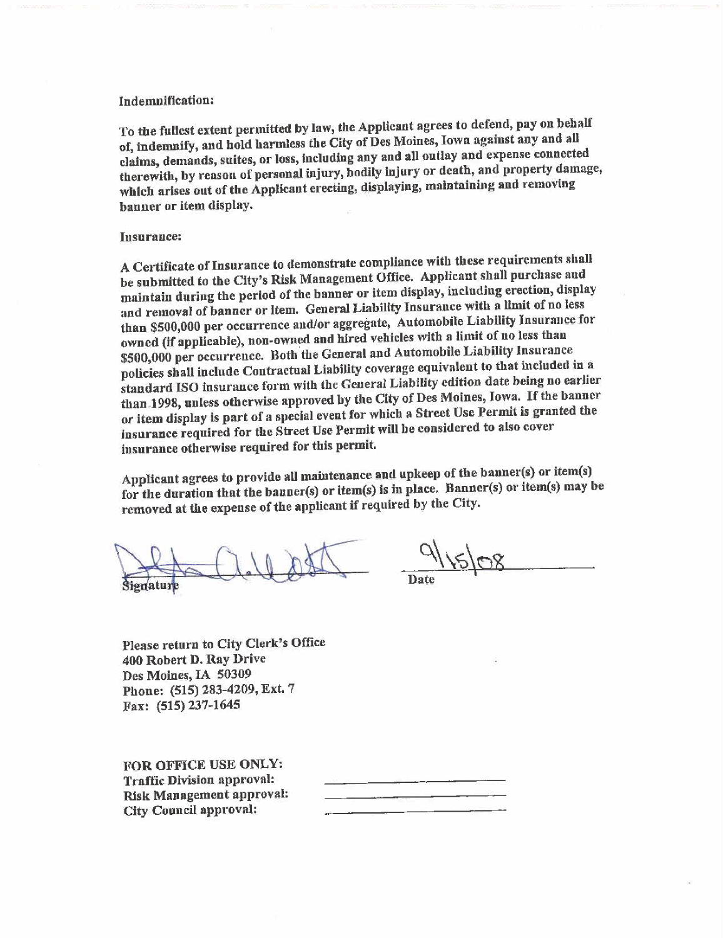#### Indemnifcation:

To the fullest extent permitted by law, the Applicant agrees to defend, pay on behalf of, indemnify, and hold harmless the City of Des Moines, Iowa against any and all claims, demands, suites, or loss, including any and an outlay and expense connected therewith, by reason of personal injury, bodily injury or death, and property damage, which arises out of the Applicant erecting, displaying, maintaining and removing banner or item display.

#### Insurance:

A Certificate of Insurance to demonstrate compliance with these requirements shall be submitted to the City's Risk Management Office. Applicant shall purchase and maintain during the period of the banner or item display, including erection, display and removal of banner or Item. General Liability Insurance with a limit of no less than \$500,000 per occurrence and/or aggregate, Automobile Liabilty Insurance for owned (if applicable), non-owned and hired vehicles with a limit of no less than<br>\$500,000 per occurrence. Both the General and Automobile Liability Insurance \$500,000 per occurrence. Both the General and Automobile Liability Insurance policies shall include Contractual Liabilty coverage equivalent to that included in a standard ISO insurance form with the General Liability edition date being no earlier than 1998, unless otherwise approved by the City of Des Moines, Iowa. If the banner or item display is part of a special event for which a Street Use Permit is granted the insurance required for the Street Use Permit wil be considered to also cover insurance otherwise required for this permit.

Applicant agrees to provide all maintenance and upkeep of the banner(s) or item(s) for the duration that the bauner(s) or item(s) is in place. Banner(s) or item(s) may be removed at the expense of the applicant if required by the City.

Signature and del

 $9|15|08$ , Date

Please return to City Clerk's Office 400 Robert D. Ray Drive Des Moines, IA 50309 Phone: (515) 283-4209, Ext. 7 Fax: (515) 237-1645

FOR OFFICE USE ONLY: Traffic Division approval: Risk Management approval: City Council approval: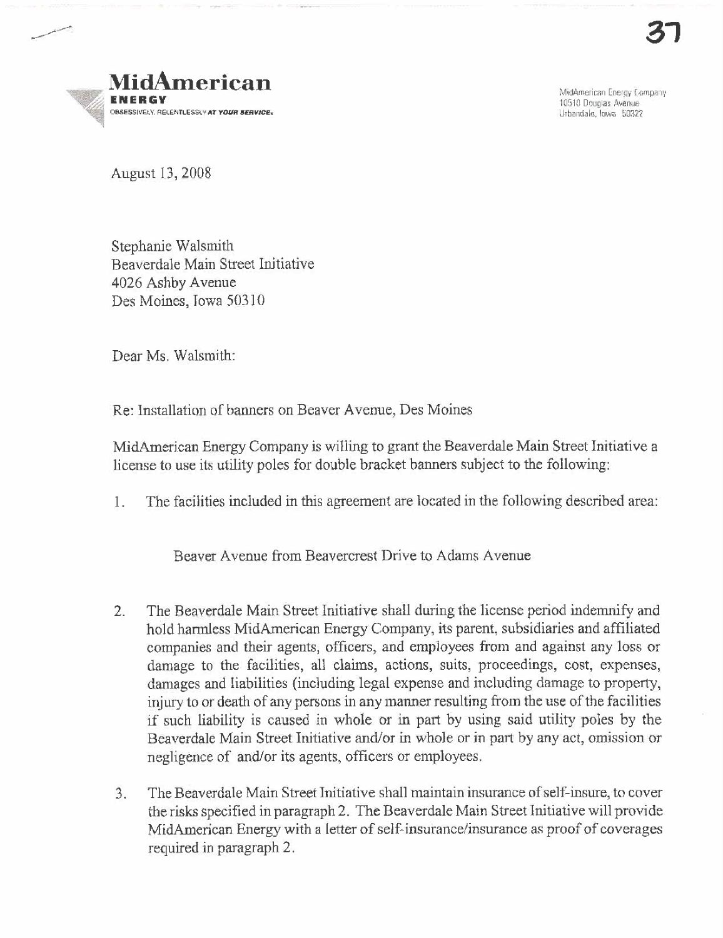

MidAmerican Energy Company 10510 Douglas Avenue Urbandale, Iowa 50322

August 13,2008

Stephanie Walsmith Beaverdale Main Street Initiative 4026 Ashby Avenue Des Moines, Iowa 50310

Dear Ms. Walsmith:

Re: Installation of banners on Beaver A venue, Des Moines

MidAmerican Energy Company is willing to grant the Beaverdale Main Street Initiative a license to use its utility poles for double bracket banners subject to the following:

1. The facilities included in ths agreement are located in the following described area:

Beaver A venue from Beavercrest Drive to Adams Avenue

- 2. The Beaverdale Main Street Initiative shall during the license period indemnify and hold harmless MidAmerican Energy Company, its parent, subsidiaries and affiliated companies and their agents, officers, and employees from and against any loss or damage to the facilities, all claims, actions, suits, proceedings, cost, expenses, damages and liabilities (including legal expense and including damage 10 property, injury to or death of any persons in any manner resulting from the use of the facilities if such liahility is caused in whole or in part by using said utility poles by the Beaverdale Main Street Initiative and/or in whole or in part by any act, omission or negligence of and/or its agents, officers or employees.
- 3. The Beaverdale Main Street Initiative shall maintain insurance of self-insure. to cover the risks specified in paragraph 2. The Beaverdale Main Street Initiative will provide MidAmencan Energy with a letter of self-insurance/insurance as proof of coverages required in paragraph 2.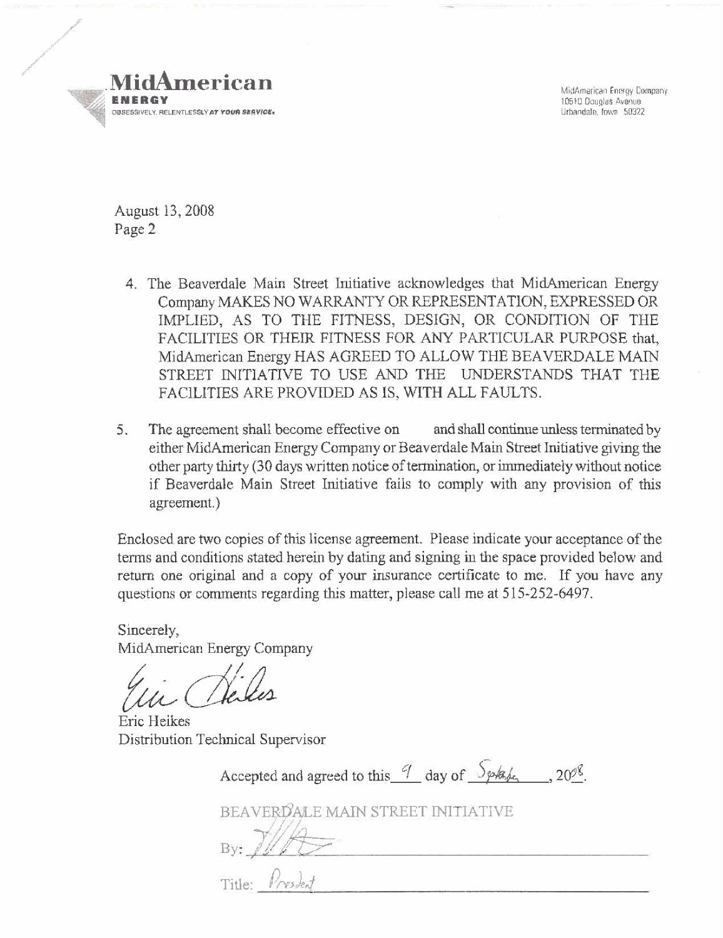

MidAmerican Energy Company 10510 Douglas Avenue Urbandale, lowa 50322

August 13, 2008 Page 2

- 4. The Beaverdale Main Street Initiative acknowledges that MidAmerican Energy Company MAKES NO WARRANTY OR REPRESENTATION, EXPRESSED OR IMPLIED, AS TO THE FITNESS, DESIGN, OR CONDITION OF THE FACILITIES OR THEIR FITNESS FOR ANY PARTICULAR PURPOSE that, MidAmerican Energy HAS AGREED TO ALLOW THE BEAVERDALE MAIN STREET INITIATIVE TO USE AND THE UNDERSTANDS THAT THE FACILITIES ARE PROVIDED AS IS, WITH ALL FAULTS.
- $5.$ The agreement shall become effective on and shall continue unless terminated by either MidAmerican Energy Company or Beaverdale Main Street Initiative giving the other party thirty (30 days written notice of termination, or immediately without notice if Beaverdale Main Street Initiative fails to comply with any provision of this agreement.)

Enclosed are two copies of this license agreement. Please indicate your acceptance of the terms and conditions stated herein by dating and signing in the space provided below and return one original and a copy of your insurance certificate to me. If you have any questions or comments regarding this matter, please call me at 515-252-6497.

Sincerely, MidAmerican Energy Company

Eric Heikes Distribution Technical Supervisor

Accepted and agreed to this  $\frac{q}{q}$  day of  $\frac{S_{\beta\gamma kq}f_{\alpha}}{q}$ . 20<sup>98</sup>.

BEAVERDALE MAIN STREET INITIATIVE

Title: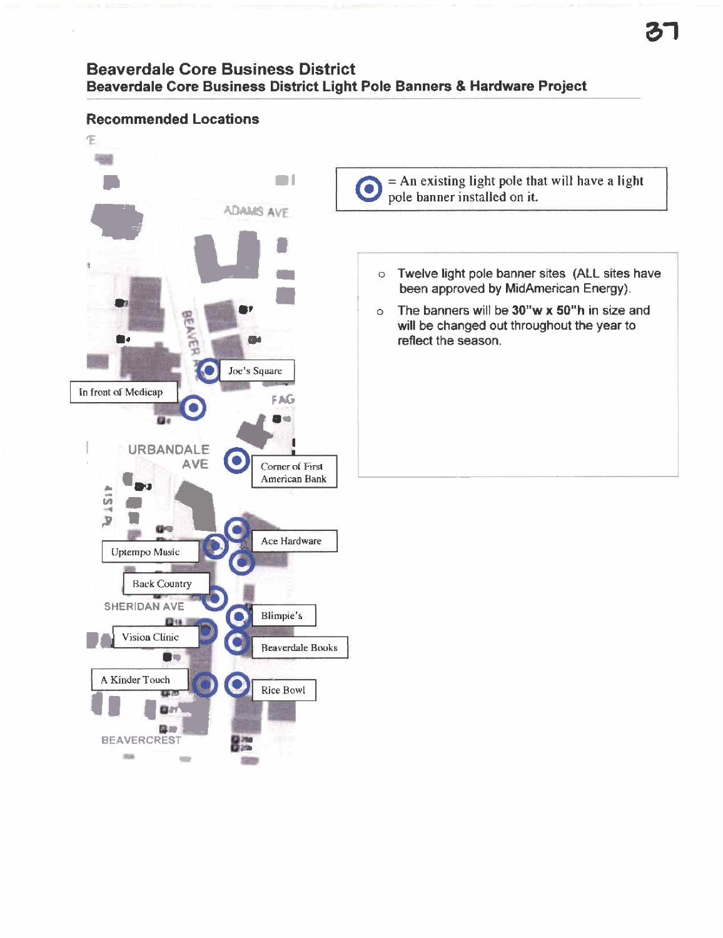# **Beaverdale Core Business District** Beaverdale Core Business District Light Pole Banners & Hardware Project

### **Recommended Locations** Œ FBBS  $=$  An existing light pole that will have a light  $\blacksquare$ O pole banner installed on it. **ADAMS AVE** o Twelve light pole banner sites (ALL sites have been approved by MidAmerican Energy). o The banners will be 30"w x 50"h in size and will be changed out throughout the year to reflect the season. n۰ Joe's Square In front of Medicap FAG ü. **URBANDALE AVE** ۰ Corner of First American Bank **157 PA** G-1 Ace Hardware Uptempo Music **Back Country** SHERIDAN AVE Blimpie's **段18** Vision Clinic **Beaverdale Books** Ù. A Kinder Touch **Rice Bowl CETA** D. . **BEAVERCREST** 85. **State COL** 88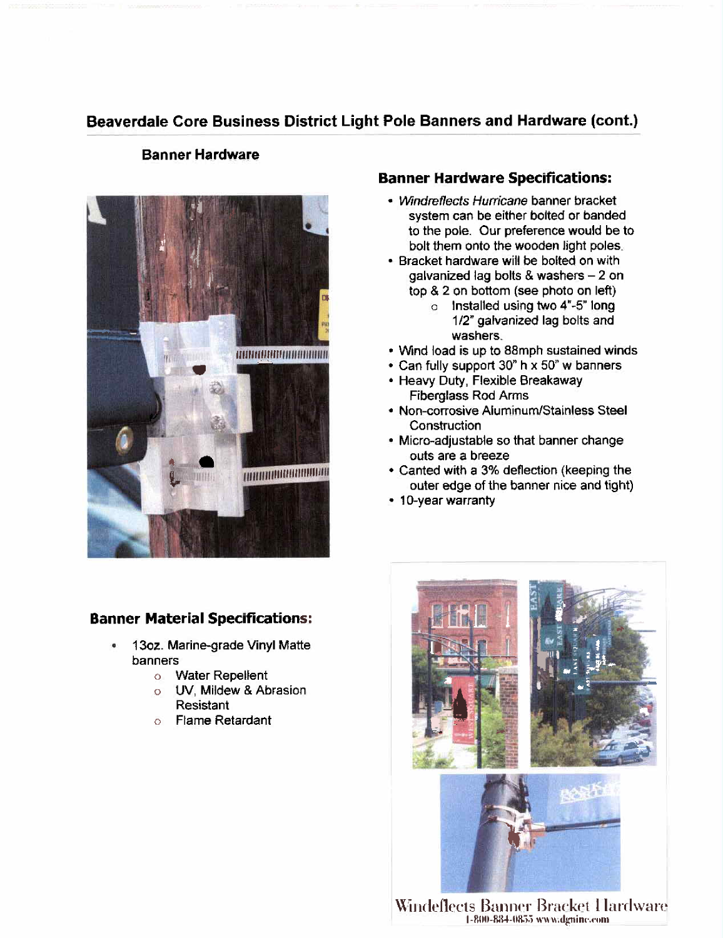# Beaverdale Core Business District Light Pole Banners and Hardware (cont.)

## Banner Hardware



## Banner Material Specifications:

- . 130z. Marine-grade Vinyl Matte banners
	- o Water Repellent
	- a UV, Mildew & Abrasion Resistant
	- o Flame Retardant

## Banner Hardware Specifications:

- . Windreflects Hurricane banner bracket system can be either bolted or banded to the pole. Our preference would be to bolt them onto the wooden light poles.
- . Bracket hardware will be bolted on with galvanized lag bolts & washers - 2 on top & 2 on bottom (see photo on left)
	- a Installed using two 4~ -5" long 1/2" galvanized lag bolts and washers.
- . Wind load is up to 88mph sustained winds
- . Can fully support 30" h x 50" w banners
- . Heavy Duty, Flexible Breakaway Fiberglass Rod Arms
- . Non-corrosive Aluminum/Stainless Steel **Construction**
- . Micro-adjustable so that banner change outs are a breeze
- . Canted with a 3% deflection (keeping the outer edge of the banner nice and tight)
- 10-year warranty



 $\rm{W}\!$ indeflects Banner Bracket I lardware l-800-884-0855 www.dgnine.com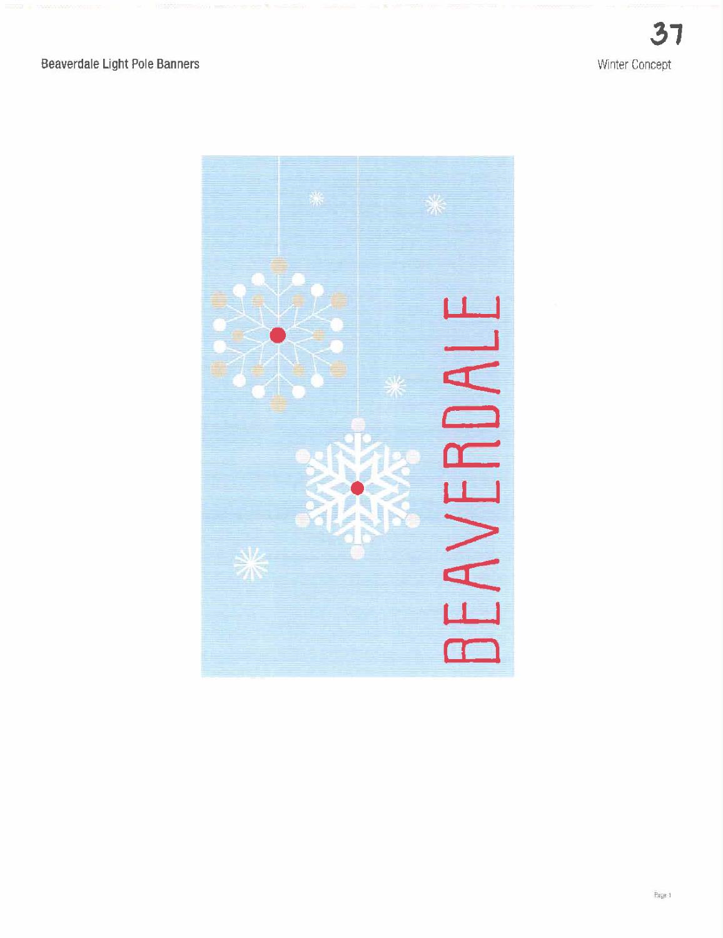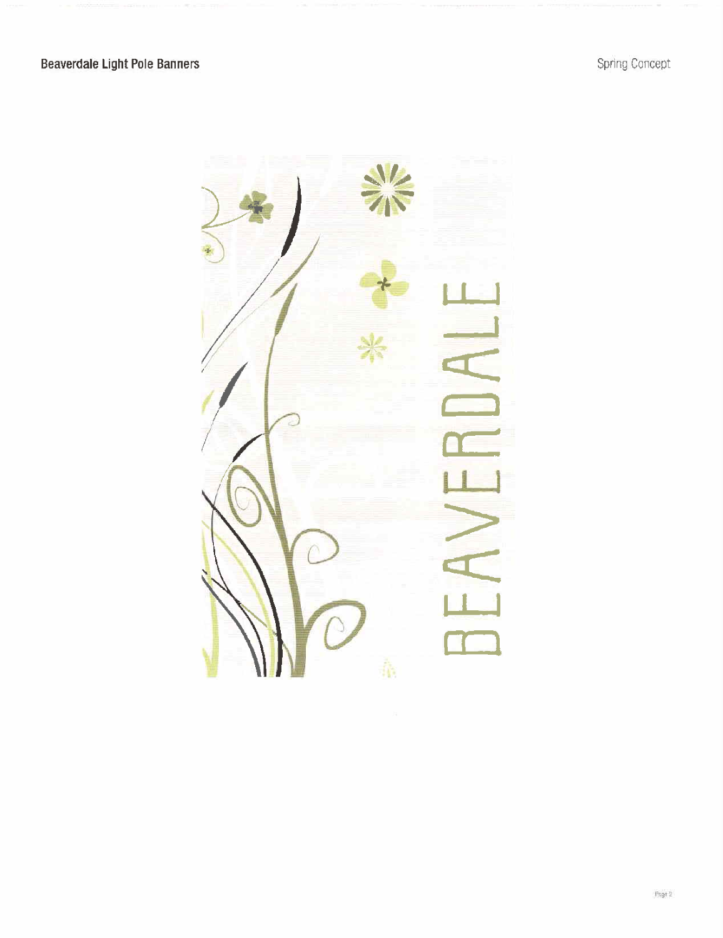